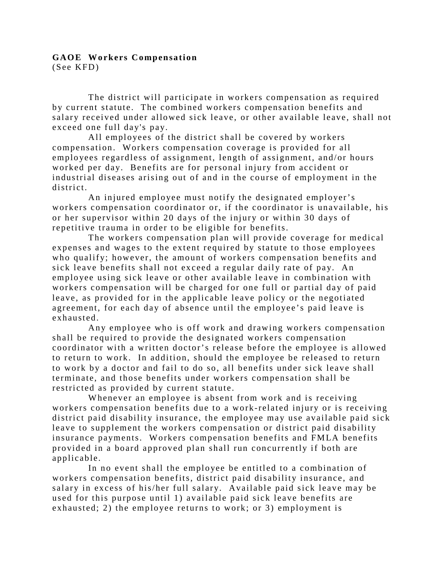## **GAOE Workers Compensation** (See KFD)

The district will participate in workers compensation as required by current statute. The combined workers compensation benefits and salary received under allowed sick leave, or other available leave, shall not exceed one full day's pay.

All employees of the district shall be covered by workers compensation. Workers compensation coverage is provided for all employees regardless of assignment, length of assignment, and/or hours worked per day. Benefits are for personal injury from accident or industrial diseases arising out of and in the course of employment in the district.

An injured employee must notify the designated employer's workers compensation coordinator or, if the coordinator is unavailable, his or her supervisor within 20 days of the injury or within 30 days of repetitive trauma in order to be eligible for benefits.

The workers compensation plan will provide coverage for medical expenses and wages to the extent required by statute to those employees who qualify; however, the amount of workers compensation benefits and sick leave benefits shall not exceed a regular daily rate of pay. An employee using sick leave or other available leave in combination with workers compensation will be charged for one full or partial day of paid leave, as provided for in the applicable leave policy or the negotiated agreement, for each day of absence until the employee's paid leave is exhausted.

Any employee who is off work and drawing workers compensation shall be required to provide the designated workers compensation coordinator with a written doctor's release before the employee is allowed to return to work. In addition, should the employee be released to return to work by a doctor and fail to do so, all benefits under sick leave shall terminate, and those benefits under workers compensation shall be restricted as provided by current statute.

Whenever an employee is absent from work and is receiving workers compensation benefits due to a work-related injury or is receiving district paid disability insurance, the employee may use available paid sick leave to supplement the workers compensation or district paid disability insurance payments. Workers compensation benefits and FMLA benefits provided in a board approved plan shall run concurrently if both are applicable.

In no event shall the employee be entitled to a combination of workers compensation benefits, district paid disability insurance, and salary in excess of his/her full salary. Available paid sick leave may be used for this purpose until 1) available paid sick leave benefits are exhausted; 2) the employee returns to work; or 3) employment is